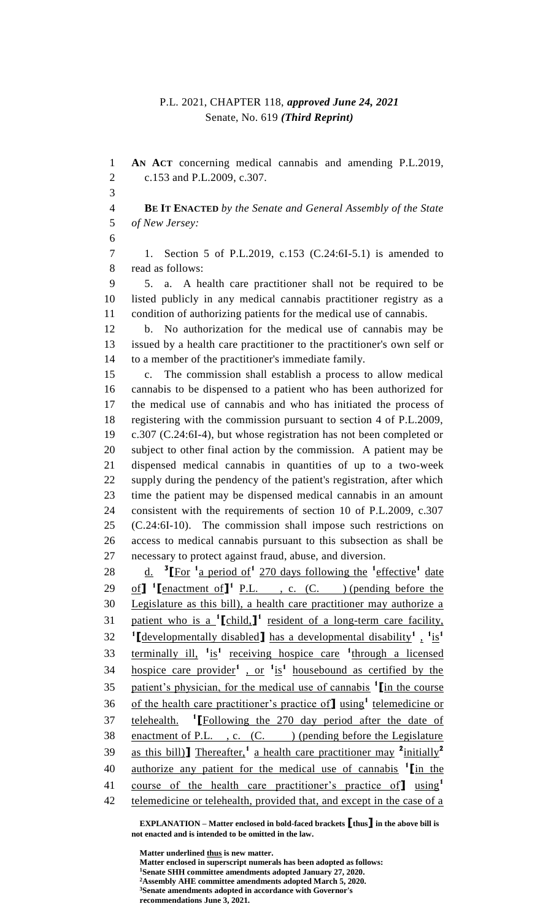## P.L. 2021, CHAPTER 118, *approved June 24, 2021* Senate, No. 619 *(Third Reprint)*

 **AN ACT** concerning medical cannabis and amending P.L.2019, c.153 and P.L.2009, c.307. **BE IT ENACTED** *by the Senate and General Assembly of the State of New Jersey:* 1. Section 5 of P.L.2019, c.153 (C.24:6I-5.1) is amended to read as follows: 5. a. A health care practitioner shall not be required to be listed publicly in any medical cannabis practitioner registry as a condition of authorizing patients for the medical use of cannabis. b. No authorization for the medical use of cannabis may be issued by a health care practitioner to the practitioner's own self or to a member of the practitioner's immediate family. c. The commission shall establish a process to allow medical cannabis to be dispensed to a patient who has been authorized for the medical use of cannabis and who has initiated the process of registering with the commission pursuant to section 4 of P.L.2009, c.307 (C.24:6I-4), but whose registration has not been completed or subject to other final action by the commission. A patient may be dispensed medical cannabis in quantities of up to a two-week supply during the pendency of the patient's registration, after which time the patient may be dispensed medical cannabis in an amount consistent with the requirements of section 10 of P.L.2009, c.307 (C.24:6I-10). The commission shall impose such restrictions on access to medical cannabis pursuant to this subsection as shall be necessary to protect against fraud, abuse, and diversion. 28 d. <sup>3</sup> [For <sup>1</sup> a period of <sup>1</sup> 270 days following the <sup>1</sup> effective <sup>1</sup> date 29 of  $\int$ <sup>1</sup> [enactment of  $\int$ <sup>1</sup> P.L., c. (C. ) (pending before the Legislature as this bill), a health care practitioner may authorize a 31 patient who is a <sup>1</sup>[child,]<sup>1</sup> resident of a long-term care facility, **[**developmentally disabled**]** has a developmental disability**<sup>1</sup>** , **1** is**1** 33 terminally ill, <sup>1</sup> is<sup>1</sup> receiving hospice care <sup>1</sup> through a licensed hospice care provider**<sup>1</sup>** , or **<sup>1</sup>** is**1** housebound as certified by the patient's physician, for the medical use of cannabis **<sup>1</sup> [**in the course 36 of the health care practitioner's practice of using<sup>1</sup> telemedicine or telehealth. **[**Following the 270 day period after the date of 38 enactment of P.L., c. (C.) (pending before the Legislature as this bill)**]** Thereafter,**<sup>1</sup>** a health care practitioner may **<sup>2</sup>** initially**<sup>2</sup>** authorize any patient for the medical use of cannabis **<sup>1</sup> [**in the course of the health care practitioner's practice of**]** using**<sup>1</sup>** 42 telemedicine or telehealth, provided that, and except in the case of a

**EXPLANATION – Matter enclosed in bold-faced brackets [thus] in the above bill is not enacted and is intended to be omitted in the law.**

**Matter underlined thus is new matter. Matter enclosed in superscript numerals has been adopted as follows: Senate SHH committee amendments adopted January 27, 2020. Assembly AHE committee amendments adopted March 5, 2020. Senate amendments adopted in accordance with Governor's recommendations June 3, 2021.**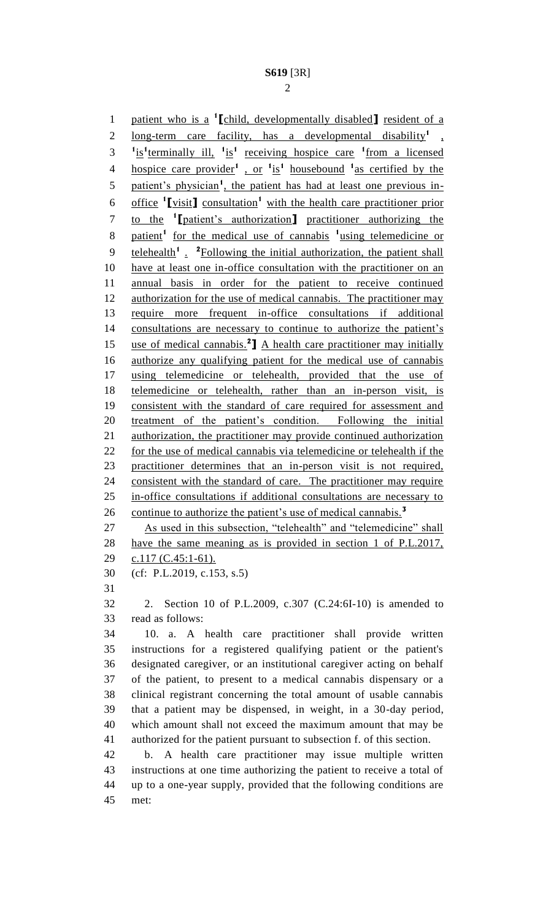patient who is a **<sup>1</sup> [**child, developmentally disabled**]** resident of a 2 long-term care facility, has a developmental disability<sup>1</sup>,  $1.5^{\circ}$   $\frac{1}{1}$  is<sup>1</sup> terminally ill,  $\frac{1}{1}$  is<sup>1</sup> receiving hospice care  $\frac{1}{1}$  from a licensed hospice care provider**<sup>1</sup>** , or **<sup>1</sup>** is**1** housebound **<sup>1</sup>** as certified by the 5 patient's physician<sup>1</sup>, the patient has had at least one previous in-6 office <sup>1</sup>[visit] consultation<sup>1</sup> with the health care practitioner prior to the **<sup>1</sup> [**patient's authorization**]** practitioner authorizing the patient**<sup>1</sup>** for the medical use of cannabis **<sup>1</sup>** using telemedicine or 9 telehealth<sup>1</sup> . <sup>2</sup>Following the initial authorization, the patient shall have at least one in-office consultation with the practitioner on an annual basis in order for the patient to receive continued 12 authorization for the use of medical cannabis. The practitioner may require more frequent in-office consultations if additional 14 consultations are necessary to continue to authorize the patient's 15 use of medical cannabis.<sup>2</sup> A health care practitioner may initially authorize any qualifying patient for the medical use of cannabis using telemedicine or telehealth, provided that the use of telemedicine or telehealth, rather than an in-person visit, is consistent with the standard of care required for assessment and treatment of the patient's condition. Following the initial authorization, the practitioner may provide continued authorization for the use of medical cannabis via telemedicine or telehealth if the practitioner determines that an in-person visit is not required, consistent with the standard of care. The practitioner may require in-office consultations if additional consultations are necessary to continue to authorize the patient's use of medical cannabis.**<sup>3</sup>** As used in this subsection, "telehealth" and "telemedicine" shall have the same meaning as is provided in section 1 of P.L.2017, 29 c.117 (C.45:1-61). (cf: P.L.2019, c.153, s.5) 2. Section 10 of P.L.2009, c.307 (C.24:6I-10) is amended to read as follows: 10. a. A health care practitioner shall provide written instructions for a registered qualifying patient or the patient's designated caregiver, or an institutional caregiver acting on behalf of the patient, to present to a medical cannabis dispensary or a clinical registrant concerning the total amount of usable cannabis that a patient may be dispensed, in weight, in a 30-day period, which amount shall not exceed the maximum amount that may be authorized for the patient pursuant to subsection f. of this section. b. A health care practitioner may issue multiple written instructions at one time authorizing the patient to receive a total of up to a one-year supply, provided that the following conditions are

met: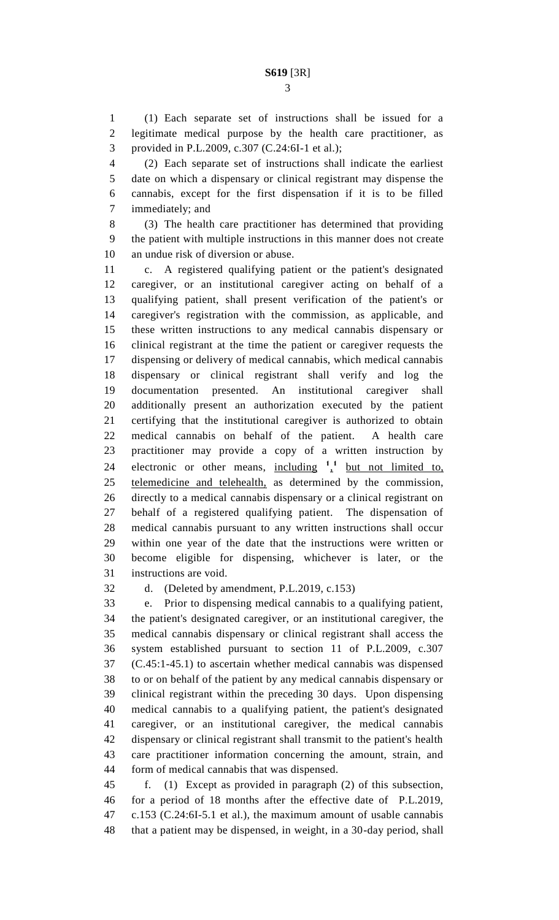(1) Each separate set of instructions shall be issued for a legitimate medical purpose by the health care practitioner, as provided in P.L.2009, c.307 (C.24:6I-1 et al.);

 (2) Each separate set of instructions shall indicate the earliest date on which a dispensary or clinical registrant may dispense the cannabis, except for the first dispensation if it is to be filled immediately; and

 (3) The health care practitioner has determined that providing the patient with multiple instructions in this manner does not create an undue risk of diversion or abuse.

 c. A registered qualifying patient or the patient's designated caregiver, or an institutional caregiver acting on behalf of a qualifying patient, shall present verification of the patient's or caregiver's registration with the commission, as applicable, and these written instructions to any medical cannabis dispensary or clinical registrant at the time the patient or caregiver requests the dispensing or delivery of medical cannabis, which medical cannabis dispensary or clinical registrant shall verify and log the documentation presented. An institutional caregiver shall additionally present an authorization executed by the patient certifying that the institutional caregiver is authorized to obtain medical cannabis on behalf of the patient. A health care practitioner may provide a copy of a written instruction by 24 electronic or other means,  $\frac{\text{including}}{1}$   $\frac{1}{1}$  but not limited to, telemedicine and telehealth, as determined by the commission, directly to a medical cannabis dispensary or a clinical registrant on behalf of a registered qualifying patient. The dispensation of medical cannabis pursuant to any written instructions shall occur within one year of the date that the instructions were written or become eligible for dispensing, whichever is later, or the instructions are void.

d. (Deleted by amendment, P.L.2019, c.153)

 e. Prior to dispensing medical cannabis to a qualifying patient, the patient's designated caregiver, or an institutional caregiver, the medical cannabis dispensary or clinical registrant shall access the system established pursuant to section 11 of P.L.2009, c.307 (C.45:1-45.1) to ascertain whether medical cannabis was dispensed to or on behalf of the patient by any medical cannabis dispensary or clinical registrant within the preceding 30 days. Upon dispensing medical cannabis to a qualifying patient, the patient's designated caregiver, or an institutional caregiver, the medical cannabis dispensary or clinical registrant shall transmit to the patient's health care practitioner information concerning the amount, strain, and form of medical cannabis that was dispensed.

 f. (1) Except as provided in paragraph (2) of this subsection, for a period of 18 months after the effective date of P.L.2019, c.153 (C.24:6I-5.1 et al.), the maximum amount of usable cannabis that a patient may be dispensed, in weight, in a 30-day period, shall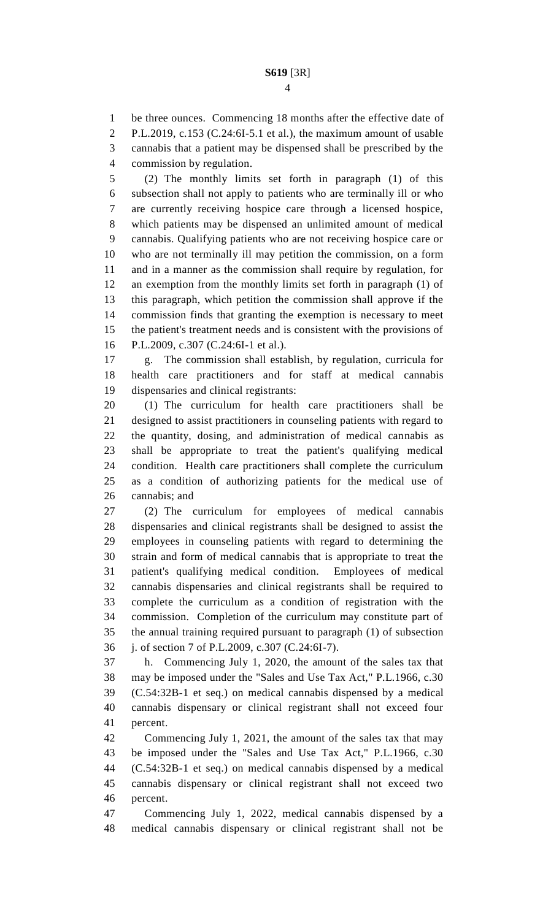be three ounces. Commencing 18 months after the effective date of

P.L.2019, c.153 (C.24:6I-5.1 et al.), the maximum amount of usable

 cannabis that a patient may be dispensed shall be prescribed by the commission by regulation.

 (2) The monthly limits set forth in paragraph (1) of this subsection shall not apply to patients who are terminally ill or who are currently receiving hospice care through a licensed hospice, which patients may be dispensed an unlimited amount of medical cannabis. Qualifying patients who are not receiving hospice care or who are not terminally ill may petition the commission, on a form and in a manner as the commission shall require by regulation, for an exemption from the monthly limits set forth in paragraph (1) of this paragraph, which petition the commission shall approve if the commission finds that granting the exemption is necessary to meet the patient's treatment needs and is consistent with the provisions of P.L.2009, c.307 (C.24:6I-1 et al.).

 g. The commission shall establish, by regulation, curricula for health care practitioners and for staff at medical cannabis dispensaries and clinical registrants:

 (1) The curriculum for health care practitioners shall be designed to assist practitioners in counseling patients with regard to the quantity, dosing, and administration of medical cannabis as shall be appropriate to treat the patient's qualifying medical condition. Health care practitioners shall complete the curriculum as a condition of authorizing patients for the medical use of cannabis; and

 (2) The curriculum for employees of medical cannabis dispensaries and clinical registrants shall be designed to assist the employees in counseling patients with regard to determining the strain and form of medical cannabis that is appropriate to treat the patient's qualifying medical condition. Employees of medical cannabis dispensaries and clinical registrants shall be required to complete the curriculum as a condition of registration with the commission. Completion of the curriculum may constitute part of the annual training required pursuant to paragraph (1) of subsection j. of section 7 of P.L.2009, c.307 (C.24:6I-7).

 h. Commencing July 1, 2020, the amount of the sales tax that may be imposed under the "Sales and Use Tax Act," P.L.1966, c.30 (C.54:32B-1 et seq.) on medical cannabis dispensed by a medical cannabis dispensary or clinical registrant shall not exceed four percent.

 Commencing July 1, 2021, the amount of the sales tax that may be imposed under the "Sales and Use Tax Act," P.L.1966, c.30 (C.54:32B-1 et seq.) on medical cannabis dispensed by a medical cannabis dispensary or clinical registrant shall not exceed two percent.

 Commencing July 1, 2022, medical cannabis dispensed by a medical cannabis dispensary or clinical registrant shall not be